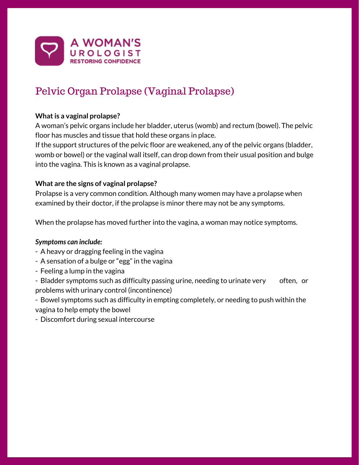

# Pelvic Organ Prolapse (Vaginal Prolapse)

# **What is a vaginal prolapse?**

A woman's pelvic organs include her bladder, uterus (womb) and rectum (bowel). The pelvic floor has muscles and tissue that hold these organs in place.

If the support structures of the pelvic floor are weakened, any of the pelvic organs (bladder, womb or bowel) or the vaginal wall itself, can drop down from their usual position and bulge into the vagina. This is known as a vaginal prolapse.

# **What are the signs of vaginal prolapse?**

Prolapse is a very common condition. Although many women may have a prolapse when examined by their doctor, if the prolapse is minor there may not be any symptoms.

When the prolapse has moved further into the vagina, a woman may notice symptoms.

## *Symptoms can include:*

- A heavy or dragging feeling in the vagina
- A sensation of a bulge or "egg" in the vagina
- Feeling a lump in the vagina
- Bladder symptoms such as difficulty passing urine, needing to urinate very often, or problems with urinary control (incontinence)

- Bowel symptoms such as difficulty in empting completely, or needing to push within the vagina to help empty the bowel

- Discomfort during sexual intercourse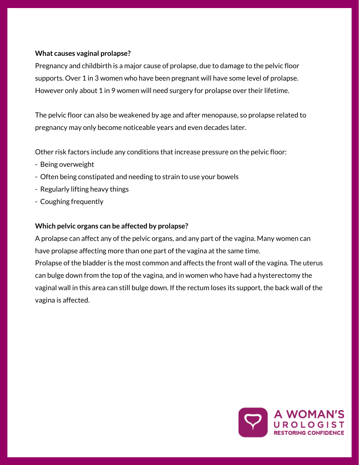# **What causes vaginal prolapse?**

Pregnancy and childbirth is a major cause of prolapse, due to damage to the pelvic floor supports. Over 1 in 3 women who have been pregnant will have some level of prolapse. However only about 1 in 9 women will need surgery for prolapse over their lifetime.

The pelvic floor can also be weakened by age and after menopause, so prolapse related to pregnancy may only become noticeable years and even decades later.

Other risk factors include any conditions that increase pressure on the pelvic floor:

- Being overweight
- Often being constipated and needing to strain to use your bowels
- Regularly lifting heavy things
- Coughing frequently

## **Which pelvic organs can be affected by prolapse?**

A prolapse can affect any of the pelvic organs, and any part of the vagina. Many women can have prolapse affecting more than one part of the vagina at the same time.

Prolapse of the bladder is the most common and affects the front wall of the vagina. The uterus can bulge down from the top of the vagina, and in women who have had a hysterectomy the vaginal wall in this area can still bulge down. If the rectum loses its support, the back wall of the vagina is affected.

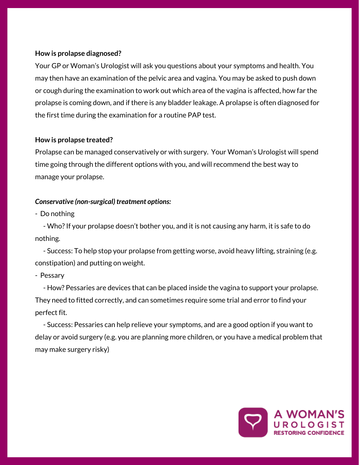## **How is prolapse diagnosed?**

Your GP or Woman's Urologist will ask you questions about your symptoms and health. You may then have an examination of the pelvic area and vagina. You may be asked to push down or cough during the examination to work out which area of the vagina is affected, how far the prolapse is coming down, and if there is any bladder leakage. A prolapse is often diagnosed for the first time during the examination for a routine PAP test.

#### **How is prolapse treated?**

Prolapse can be managed conservatively or with surgery. Your Woman's Urologist will spend time going through the different options with you, and will recommend the best way to manage your prolapse.

## *Conservative (non-surgical) treatment options:*

- Do nothing

- Who?If your prolapse doesn't bother you, and it is not causing any harm, it is safe to do nothing.

- Success: To help stop your prolapse from getting worse, avoid heavy lifting, straining (e.g. constipation) and putting on weight.

- Pessary

- How? Pessaries are devices that can be placed inside the vagina to support your prolapse. They need to fitted correctly, and can sometimes require some trial and error to find your perfect fit.

- Success: Pessaries can help relieve your symptoms, and are a good option if you want to delay or avoid surgery (e.g. you are planning more children, or you have a medical problem that may make surgery risky)

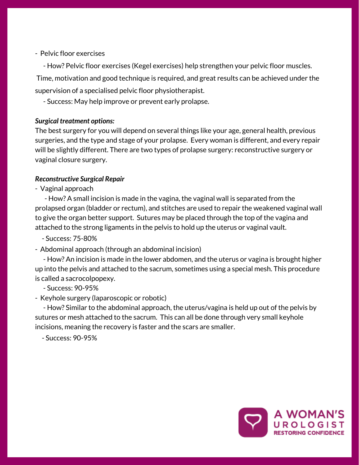## - Pelvic floor exercises

- How? Pelvic floor exercises (Kegel exercises) help strengthen your pelvic floor muscles. Time, motivation and good technique is required, and great results can be achieved under the supervision of a specialised pelvic floor physiotherapist.

- Success: May help improve or prevent early prolapse.

## *Surgical treatment options:*

The best surgery for you will depend on several things like your age, general health, previous surgeries, and the type and stage of your prolapse. Every woman is different, and every repair will be slightly different. There are two types of prolapse surgery: reconstructive surgery or vaginal closure surgery.

#### *Reconstructive Surgical Repair*

- Vaginal approach

- How? A small incision is made in the vagina, the vaginal wall is separated from the prolapsed organ (bladder or rectum), and stitches are used to repair the weakened vaginal wall to give the organ better support. Sutures may be placed through the top of the vagina and attached to the strong ligaments in the pelvis to hold up the uterus or vaginal vault.

- Success: 75-80%

- Abdominal approach (through an abdominal incision)

- How? An incision is made in the lower abdomen, and the uterus or vagina is brought higher up into the pelvis and attached to the sacrum, sometimes using a special mesh. This procedure is called a sacrocolpopexy.

- Success: 90-95%

- Keyhole surgery (laparoscopic or robotic)

- How? Similar to the abdominal approach, the uterus/vagina is held up out of the pelvis by sutures or mesh attached to the sacrum. This can all be done through very small keyhole incisions, meaning the recovery is faster and the scars are smaller.

- Success: 90-95%